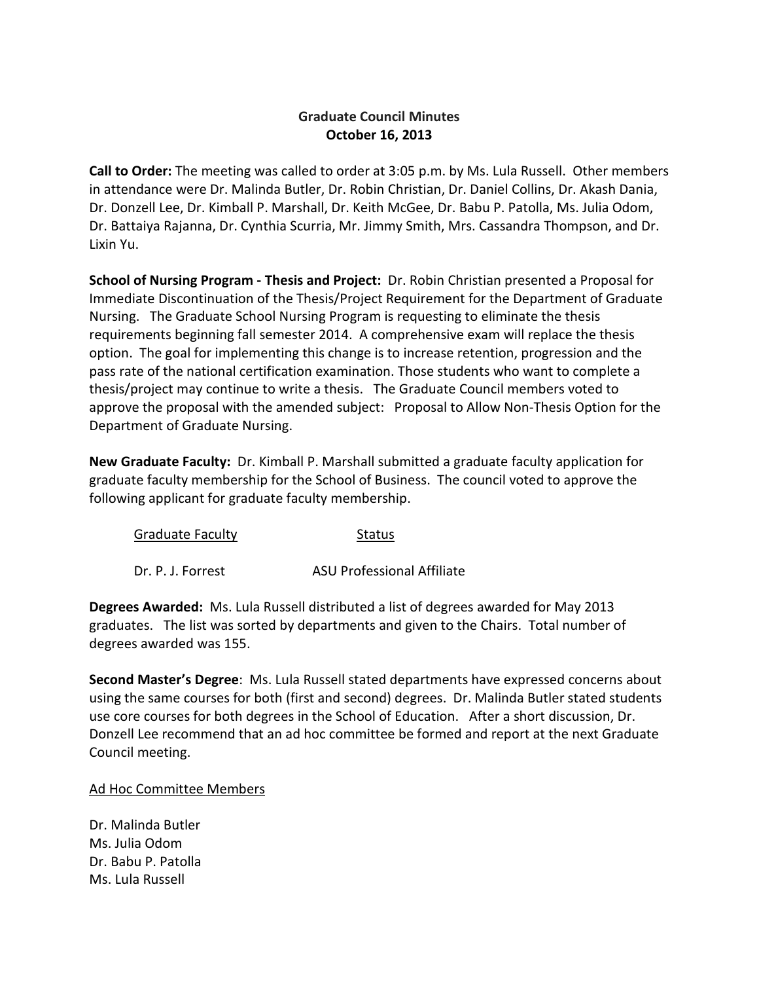## **Graduate Council Minutes October 16, 2013**

**Call to Order:** The meeting was called to order at 3:05 p.m. by Ms. Lula Russell. Other members in attendance were Dr. Malinda Butler, Dr. Robin Christian, Dr. Daniel Collins, Dr. Akash Dania, Dr. Donzell Lee, Dr. Kimball P. Marshall, Dr. Keith McGee, Dr. Babu P. Patolla, Ms. Julia Odom, Dr. Battaiya Rajanna, Dr. Cynthia Scurria, Mr. Jimmy Smith, Mrs. Cassandra Thompson, and Dr. Lixin Yu.

**School of Nursing Program - Thesis and Project:** Dr. Robin Christian presented a Proposal for Immediate Discontinuation of the Thesis/Project Requirement for the Department of Graduate Nursing. The Graduate School Nursing Program is requesting to eliminate the thesis requirements beginning fall semester 2014. A comprehensive exam will replace the thesis option. The goal for implementing this change is to increase retention, progression and the pass rate of the national certification examination. Those students who want to complete a thesis/project may continue to write a thesis. The Graduate Council members voted to approve the proposal with the amended subject: Proposal to Allow Non-Thesis Option for the Department of Graduate Nursing.

**New Graduate Faculty:** Dr. Kimball P. Marshall submitted a graduate faculty application for graduate faculty membership for the School of Business. The council voted to approve the following applicant for graduate faculty membership.

| <b>Graduate Faculty</b> | Status                            |
|-------------------------|-----------------------------------|
| Dr. P. J. Forrest       | <b>ASU Professional Affiliate</b> |

**Degrees Awarded:** Ms. Lula Russell distributed a list of degrees awarded for May 2013 graduates. The list was sorted by departments and given to the Chairs. Total number of degrees awarded was 155.

**Second Master's Degree**: Ms. Lula Russell stated departments have expressed concerns about using the same courses for both (first and second) degrees. Dr. Malinda Butler stated students use core courses for both degrees in the School of Education. After a short discussion, Dr. Donzell Lee recommend that an ad hoc committee be formed and report at the next Graduate Council meeting.

## Ad Hoc Committee Members

Dr. Malinda Butler Ms. Julia Odom Dr. Babu P. Patolla Ms. Lula Russell